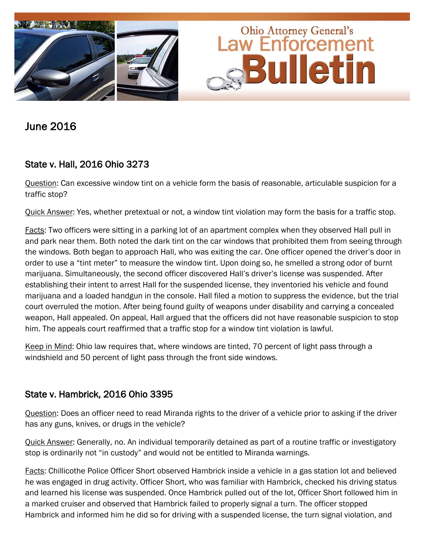

June 2016

## State v. Hall, 2016 Ohio 3273

Question: Can excessive window tint on a vehicle form the basis of reasonable, articulable suspicion for a traffic stop?

Quick Answer: Yes, whether pretextual or not, a window tint violation may form the basis for a traffic stop.

Facts: Two officers were sitting in a parking lot of an apartment complex when they observed Hall pull in and park near them. Both noted the dark tint on the car windows that prohibited them from seeing through the windows. Both began to approach Hall, who was exiting the car. One officer opened the driver's door in order to use a "tint meter" to measure the window tint. Upon doing so, he smelled a strong odor of burnt marijuana. Simultaneously, the second officer discovered Hall's driver's license was suspended. After establishing their intent to arrest Hall for the suspended license, they inventoried his vehicle and found marijuana and a loaded handgun in the console. Hall filed a motion to suppress the evidence, but the trial court overruled the motion. After being found guilty of weapons under disability and carrying a concealed weapon, Hall appealed. On appeal, Hall argued that the officers did not have reasonable suspicion to stop him. The appeals court reaffirmed that a traffic stop for a window tint violation is lawful.

Keep in Mind: Ohio law requires that, where windows are tinted, 70 percent of light pass through a windshield and 50 percent of light pass through the front side windows.

## State v. Hambrick, 2016 Ohio 3395

Question: Does an officer need to read Miranda rights to the driver of a vehicle prior to asking if the driver has any guns, knives, or drugs in the vehicle?

Quick Answer: Generally, no. An individual temporarily detained as part of a routine traffic or investigatory stop is ordinarily not "in custody" and would not be entitled to Miranda warnings.

Facts: Chillicothe Police Officer Short observed Hambrick inside a vehicle in a gas station lot and believed he was engaged in drug activity. Officer Short, who was familiar with Hambrick, checked his driving status and learned his license was suspended. Once Hambrick pulled out of the lot, Officer Short followed him in a marked cruiser and observed that Hambrick failed to properly signal a turn. The officer stopped Hambrick and informed him he did so for driving with a suspended license, the turn signal violation, and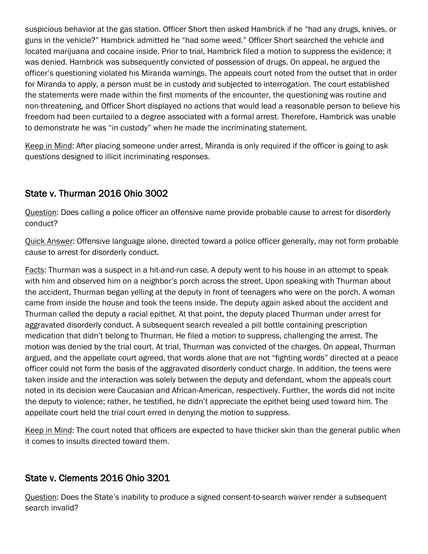suspicious behavior at the gas station. Officer Short then asked Hambrick if he "had any drugs, knives, or guns in the vehicle?" Hambrick admitted he "had some weed." Officer Short searched the vehicle and located marijuana and cocaine inside. Prior to trial, Hambrick filed a motion to suppress the evidence; it was denied. Hambrick was subsequently convicted of possession of drugs. On appeal, he argued the officer's questioning violated his Miranda warnings. The appeals court noted from the outset that in order for Miranda to apply, a person must be in custody and subjected to interrogation. The court established the statements were made within the first moments of the encounter, the questioning was routine and non-threatening, and Officer Short displayed no actions that would lead a reasonable person to believe his freedom had been curtailed to a degree associated with a formal arrest. Therefore, Hambrick was unable to demonstrate he was "in custody" when he made the incriminating statement.

Keep in Mind: After placing someone under arrest, Miranda is only required if the officer is going to ask questions designed to illicit incriminating responses.

## State v. Thurman 2016 Ohio 3002

Question: Does calling a police officer an offensive name provide probable cause to arrest for disorderly conduct?

Quick Answer: Offensive language alone, directed toward a police officer generally, may not form probable cause to arrest for disorderly conduct.

Facts: Thurman was a suspect in a hit-and-run case. A deputy went to his house in an attempt to speak with him and observed him on a neighbor's porch across the street. Upon speaking with Thurman about the accident, Thurman began yelling at the deputy in front of teenagers who were on the porch. A woman came from inside the house and took the teens inside. The deputy again asked about the accident and Thurman called the deputy a racial epithet. At that point, the deputy placed Thurman under arrest for aggravated disorderly conduct. A subsequent search revealed a pill bottle containing prescription medication that didn't belong to Thurman. He filed a motion to suppress, challenging the arrest. The motion was denied by the trial court. At trial, Thurman was convicted of the charges. On appeal, Thurman argued, and the appellate court agreed, that words alone that are not "fighting words" directed at a peace officer could not form the basis of the aggravated disorderly conduct charge. In addition, the teens were taken inside and the interaction was solely between the deputy and defendant, whom the appeals court noted in its decision were Caucasian and African-American, respectively. Further, the words did not incite the deputy to violence; rather, he testified, he didn't appreciate the epithet being used toward him. The appellate court held the trial court erred in denying the motion to suppress.

Keep in Mind: The court noted that officers are expected to have thicker skin than the general public when it comes to insults directed toward them.

## State v. Clements 2016 Ohio 3201

Question: Does the State's inability to produce a signed consent-to-search waiver render a subsequent search invalid?